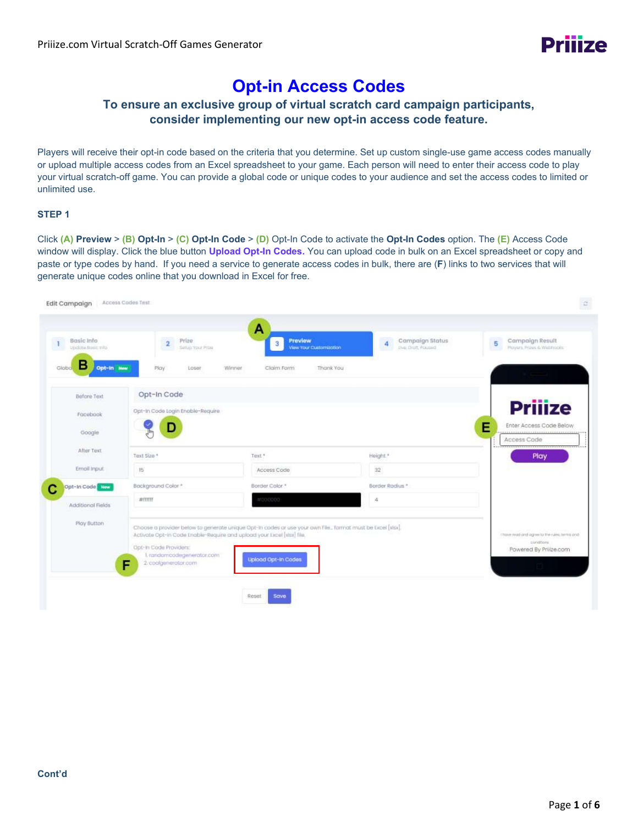

# **Opt-in Access Codes**

# **To ensure an exclusive group of virtual scratch card campaign participants, consider implementing our new opt-in access code feature.**

Players will receive their opt-in code based on the criteria that you determine. Set up custom single-use game access codes manually or upload multiple access codes from an Excel spreadsheet to your game. Each person will need to enter their access code to play your virtual scratch-off game. You can provide a global code or unique codes to your audience and set the access codes to limited or unlimited use.

#### **STEP 1**

Click **(A) Preview** > **(B) Opt-In** > **(C) Opt-In Code** > **(D)** Opt-In Code to activate the **Opt-In Codes** option. The **(E)** Access Code window will display. Click the blue button **Upload Opt-In Codes.** You can upload code in bulk on an Excel spreadsheet or copy and paste or type codes by hand. If you need a service to generate access codes in bulk, there are (**F**) links to two services that will generate unique codes online that you download in Excel for free.

| Basic Info<br>$\blacksquare$<br>Update Basic mfo | Prize<br>$\overline{2}$<br>Setuo Your Prize                                       | Preview<br>3 <sup>2</sup><br>View Your Customization                                                      | Campaign Status<br>4<br>this that Poused | Campaign Result<br>5<br>Ployers, Prizes & Webhooks                                                                                                                                                                                                                          |
|--------------------------------------------------|-----------------------------------------------------------------------------------|-----------------------------------------------------------------------------------------------------------|------------------------------------------|-----------------------------------------------------------------------------------------------------------------------------------------------------------------------------------------------------------------------------------------------------------------------------|
| в<br>Opt-in New<br>Globa.                        | Play<br>Loser                                                                     | Winner<br>Claim Form<br>Thank You                                                                         |                                          |                                                                                                                                                                                                                                                                             |
| Before Text                                      | Opt-In Code                                                                       |                                                                                                           |                                          |                                                                                                                                                                                                                                                                             |
| Facebook                                         | Opt-In Code Login Enable-Require                                                  |                                                                                                           |                                          | <b>Prijize</b>                                                                                                                                                                                                                                                              |
| Google                                           | D                                                                                 |                                                                                                           |                                          | E<br>Enter Access Code Below                                                                                                                                                                                                                                                |
|                                                  |                                                                                   |                                                                                                           |                                          | Access Code                                                                                                                                                                                                                                                                 |
| After Text                                       | Text Size *                                                                       | Test <sup>*</sup>                                                                                         | Height *                                 | Play                                                                                                                                                                                                                                                                        |
| Email Input                                      | 15                                                                                | Access Code                                                                                               | 32                                       |                                                                                                                                                                                                                                                                             |
| Opt-In Code New                                  | Background Color *                                                                | Border Color *                                                                                            | Border Radius *                          |                                                                                                                                                                                                                                                                             |
| Additional Fields                                | #ffffff                                                                           | #1000000                                                                                                  | 4                                        |                                                                                                                                                                                                                                                                             |
| Play Button                                      | Activate Opt-In Code Enable-Require and upload your Excel [stax] file.            | Choose a provider below to generate unique Opt-In codes or use your own File format must be Excel [siss]. |                                          | I have read and agree to the rules, terms and                                                                                                                                                                                                                               |
|                                                  | Opt-In Code Providers:<br>1. randomoodegenerator.com<br>2. coolgenerator.com<br>F | Upload Opt-In Codes                                                                                       |                                          | constions<br>Powered By Prilize.com<br><b>The Contract of the Contract of the Contract of the Contract of the Contract of the Contract of the Contract of the Contract of the Contract of the Contract of the Contract of The Contract of The Contract of The Contract </b> |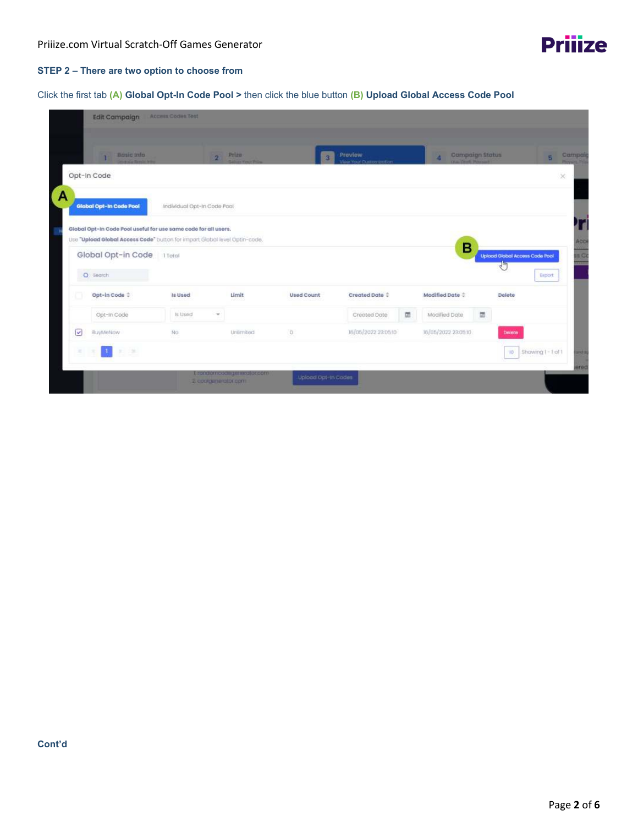#### **STEP 2 – There are two option to choose from**

## Click the first tab **(A) Global Opt-In Code Pool >** then click the blue button **(B) Upload Global Access Code Pool**

| <b>Edit Campaign</b>                                                       | Access Codes Tost           |           |                   |                               |   |                             |   |                                |                  |              |
|----------------------------------------------------------------------------|-----------------------------|-----------|-------------------|-------------------------------|---|-----------------------------|---|--------------------------------|------------------|--------------|
| Busic Info<br>T                                                            | $\overline{2}$              | Prize     | R.                | Preview<br>Your Customization |   | <b>Compaign Status</b><br>и |   |                                | s.               | Campai       |
| Opt-In Code                                                                |                             |           |                   |                               |   |                             |   |                                |                  | $\!\times\!$ |
| A<br>Global Opt-In Code Pool                                               | Individual Opt-In Code Pool |           |                   |                               |   |                             |   |                                |                  |              |
| Global Opt-In Code Pool useful for use same code for all users.            |                             |           |                   |                               |   |                             |   |                                |                  |              |
| Use "Upload Global Access Code" button for impart Global level Optin-code. |                             |           |                   |                               |   | в                           |   |                                |                  | ACC          |
| Global Opt-in Code                                                         | 1 Total                     |           |                   |                               |   |                             |   | Upload Global Access Code Pool |                  | in C         |
| O Search                                                                   |                             |           |                   |                               |   |                             |   |                                | Export           |              |
|                                                                            |                             | Limit     |                   |                               |   |                             |   |                                |                  |              |
| Opt-in Code $\hat{z}$                                                      | Is Used                     |           | <b>Used Count</b> | Created Date 0                |   | Modified Date $\hat{z}$     |   | Delete                         |                  |              |
| Opt-In Code                                                                | Is Used<br>$\sim$           |           |                   | Created Date                  | 面 | Modified Date               | 団 |                                |                  |              |
| $\checkmark$<br>BuyMeNow                                                   | No                          | Unlimited | O.                | 16/05/2022 23:05:10           |   | 16/05/2022 23:05:10         |   | Deiete                         |                  |              |
| 刘建<br>$\mathcal{R}$<br>D.                                                  |                             |           |                   |                               |   |                             |   | 10 <sup>1</sup>                | Showing I-1 of 1 | and is       |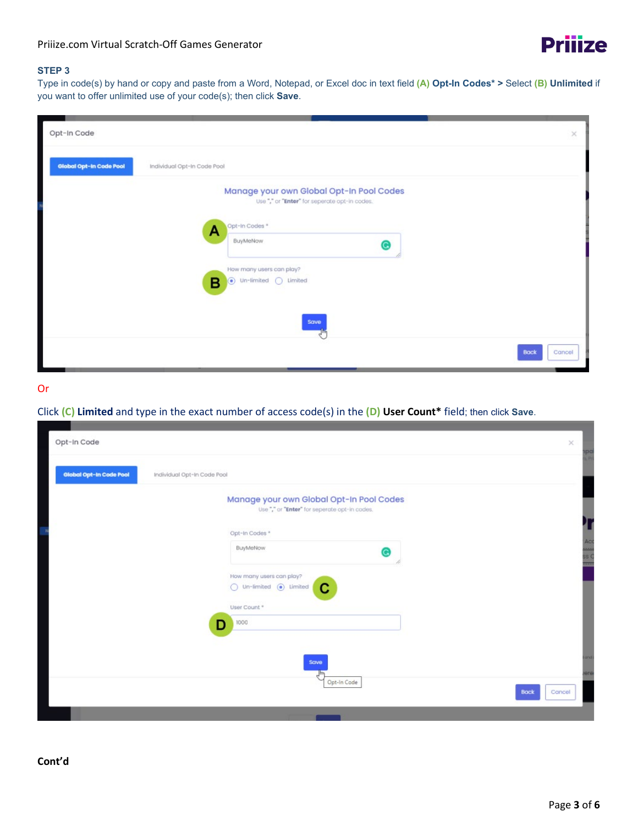

# **STEP 3**

Type in code(s) by hand or copy and paste from a Word, Notepad, or Excel doc in text field **(A) Opt-In Codes\* >** Select **(B) Unlimited** if you want to offer unlimited use of your code(s); then click **Save**.

| Opt-In Code             |                                                                                                                                                                                                                  | ×      |
|-------------------------|------------------------------------------------------------------------------------------------------------------------------------------------------------------------------------------------------------------|--------|
| Global Opt-In Code Pool | Individual Opt-In Code Pool                                                                                                                                                                                      |        |
|                         | Manage your own Global Opt-In Pool Codes<br>Use"," or "Enter" for seperate opt-in codes.<br>Opt-In Codes <sup>*</sup><br>А<br>BuyMeNow<br>How many users can play?<br>$\odot$ Un-limited $\bigcirc$ Limited<br>в |        |
|                         | Save                                                                                                                                                                                                             |        |
|                         | <b>Back</b>                                                                                                                                                                                                      | Cancel |

# Or

Click **(C) Limited** and type in the exact number of access code(s) in the **(D) User Count\*** field; then click **Save**.

| Opt-In Code             |                                                                                           | $\times$ |             |
|-------------------------|-------------------------------------------------------------------------------------------|----------|-------------|
| Global Opt-In Code Pool | Individual Opt-In Code Pool                                                               |          |             |
|                         | Manage your own Global Opt-In Pool Codes<br>Use "," or "Enter" for seperate opt-in codes. |          |             |
|                         | Opt-In Codes *                                                                            |          |             |
|                         | BuyMeNow<br>⊜                                                                             |          | Acc<br>ss C |
|                         | How many users can play?<br>$\bigcirc$ Un-limited $\bigcirc$ Limited<br>С                 |          | m           |
|                         | User Count *                                                                              |          |             |
|                         | 1000<br>D                                                                                 |          |             |
|                         | Save                                                                                      |          | 23          |
|                         | all,<br>Opt-In Code<br><b>Back</b><br>Cancel                                              |          | ere         |
|                         |                                                                                           |          |             |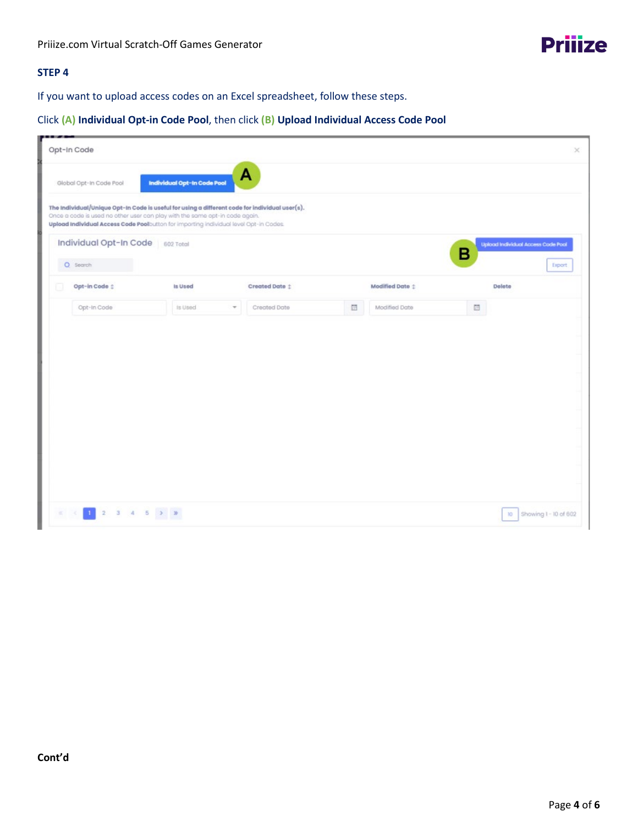# **STEP 4**

If you want to upload access codes on an Excel spreadsheet, follow these steps.

# Click **(A) Individual Opt-in Code Pool**, then click **(B) Upload Individual Access Code Pool**

| . | Opt-In Code             |                                                                                                                                                                                                                                                                        |                |                  |                 |                                         | $\times$            |
|---|-------------------------|------------------------------------------------------------------------------------------------------------------------------------------------------------------------------------------------------------------------------------------------------------------------|----------------|------------------|-----------------|-----------------------------------------|---------------------|
|   | Global Opt-In Code Pool | Individual Opt-In Code Pool                                                                                                                                                                                                                                            | A              |                  |                 |                                         |                     |
|   |                         | The Individual/Unique Opt-In Code is useful for using a different code for individual user(s).<br>Once a code is used no other user can play with the same opt-in code again.<br>Upload Individual Access Code Poolbutton for importing individual level Opt-in Codes. |                |                  |                 |                                         |                     |
|   | Individual Opt-In Code  | 602 Total                                                                                                                                                                                                                                                              |                |                  |                 | Upload Individual Access Code Pool<br>в |                     |
|   | O Search                |                                                                                                                                                                                                                                                                        |                |                  |                 |                                         | Export              |
| u | Opt-in Code :           | Is Used                                                                                                                                                                                                                                                                | Created Date : |                  | Modified Date : | Delete                                  |                     |
|   | Opt-In Code             | Is Used<br>$\overline{\phantom{a}}$                                                                                                                                                                                                                                    | Created Date   | $\overline{\Xi}$ | Modified Date   | 団                                       |                     |
|   |                         |                                                                                                                                                                                                                                                                        |                |                  |                 |                                         |                     |
|   | $1$ 2 3 4 5 3 3         |                                                                                                                                                                                                                                                                        |                |                  |                 | ю                                       | Showing 1-10 of 602 |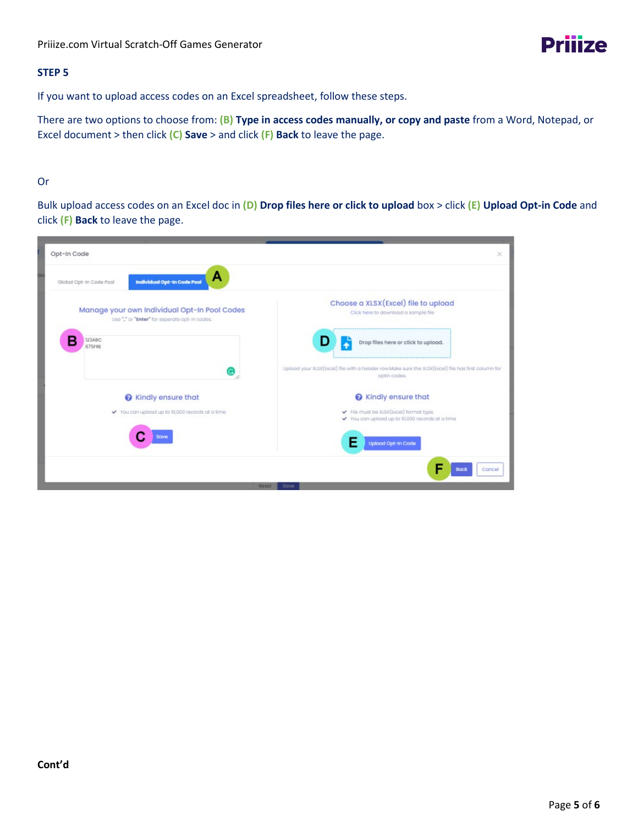# **STEP 5**

If you want to upload access codes on an Excel spreadsheet, follow these steps.

There are two options to choose from: **(B) Type in access codes manually, or copy and paste** from a Word, Notepad, or Excel document > then click **(C) Save** > and click **(F) Back** to leave the page.

## Or

Bulk upload access codes on an Excel doc in **(D) Drop files here or click to upload** box > click **(E) Upload Opt-in Code** and click **(F) Back** to leave the page.

| Opt-In Code                                                                                  | $\times$                                                                                                           |
|----------------------------------------------------------------------------------------------|--------------------------------------------------------------------------------------------------------------------|
| А<br>Individual Opt-In Code Pool<br>Global Opt-In Code Pool                                  |                                                                                                                    |
| Manage your own Individual Opt-In Pool Codes<br>Use"," or "Enter" for seperate opt-in codes. | Choose a XLSX(Excel) file to upload<br>Click here to download a sample file                                        |
| 123ABC<br>675FRE                                                                             | Drop files here or click to upload.                                                                                |
|                                                                                              | Upload your XLSX(Excel) file with a header row Make sure the XLSX(Excel) file has first column for<br>optin codes. |
| Re Kindly ensure that                                                                        | Re Kindly ensure that                                                                                              |
| ✔ You can upload up to 10,000 records at a time                                              | File must be XLSX(Excel) format type.<br>✔ You can upload up to 10,000 records at a time                           |
| Save                                                                                         | <b>Upload Opt-In Code</b>                                                                                          |
|                                                                                              | <b>Back</b><br>Cancel                                                                                              |
|                                                                                              | Reset<br>Save                                                                                                      |